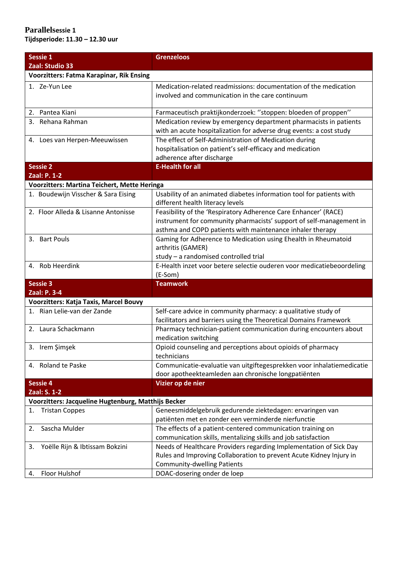| Sessie 1                                            | <b>Grenzeloos</b>                                                                                                                                                                                   |  |
|-----------------------------------------------------|-----------------------------------------------------------------------------------------------------------------------------------------------------------------------------------------------------|--|
| Zaal: Studio 33                                     |                                                                                                                                                                                                     |  |
| <b>Voorzitters: Fatma Karapinar, Rik Ensing</b>     |                                                                                                                                                                                                     |  |
| 1. Ze-Yun Lee                                       | Medication-related readmissions: documentation of the medication<br>involved and communication in the care continuum                                                                                |  |
| 2. Pantea Kiani                                     | Farmaceutisch praktijkonderzoek: "stoppen: bloeden of proppen"                                                                                                                                      |  |
| 3. Rehana Rahman                                    | Medication review by emergency department pharmacists in patients<br>with an acute hospitalization for adverse drug events: a cost study                                                            |  |
| 4. Loes van Herpen-Meeuwissen                       | The effect of Self-Administration of Medication during<br>hospitalisation on patient's self-efficacy and medication<br>adherence after discharge                                                    |  |
| <b>Sessie 2</b>                                     | <b>E-Health for all</b>                                                                                                                                                                             |  |
| Zaal: P. 1-2                                        |                                                                                                                                                                                                     |  |
| Voorzitters: Martina Teichert, Mette Heringa        |                                                                                                                                                                                                     |  |
| 1. Boudewijn Visscher & Sara Eising                 | Usability of an animated diabetes information tool for patients with<br>different health literacy levels                                                                                            |  |
| 2. Floor Alleda & Lisanne Antonisse                 | Feasibility of the 'Respiratory Adherence Care Enhancer' (RACE)<br>instrument for community pharmacists' support of self-management in<br>asthma and COPD patients with maintenance inhaler therapy |  |
| 3. Bart Pouls                                       | Gaming for Adherence to Medication using Ehealth in Rheumatoid<br>arthritis (GAMER)<br>study - a randomised controlled trial                                                                        |  |
| 4. Rob Heerdink                                     | E-Health inzet voor betere selectie ouderen voor medicatiebeoordeling<br>(E-Som)                                                                                                                    |  |
| <b>Sessie 3</b>                                     | <b>Teamwork</b>                                                                                                                                                                                     |  |
| Zaal: P. 3-4                                        |                                                                                                                                                                                                     |  |
| Voorzitters: Katja Taxis, Marcel Bouvy              |                                                                                                                                                                                                     |  |
| 1. Rian Lelie-van der Zande                         | Self-care advice in community pharmacy: a qualitative study of<br>facilitators and barriers using the Theoretical Domains Framework                                                                 |  |
| 2. Laura Schackmann                                 | Pharmacy technician-patient communication during encounters about<br>medication switching                                                                                                           |  |
| 3. Irem Şimşek                                      | Opioid counseling and perceptions about opioids of pharmacy<br>technicians                                                                                                                          |  |
| 4. Roland te Paske                                  | Communicatie-evaluatie van uitgiftegesprekken voor inhalatiemedicatie<br>door apotheekteamleden aan chronische longpatiënten                                                                        |  |
| <b>Sessie 4</b>                                     | Vizier op de nier                                                                                                                                                                                   |  |
| Zaal: S. 1-2                                        |                                                                                                                                                                                                     |  |
| Voorzitters: Jacqueline Hugtenburg, Matthijs Becker |                                                                                                                                                                                                     |  |
| <b>Tristan Coppes</b><br>1.                         | Geneesmiddelgebruik gedurende ziektedagen: ervaringen van<br>patiënten met en zonder een verminderde nierfunctie                                                                                    |  |
| Sascha Mulder<br>2.                                 | The effects of a patient-centered communication training on<br>communication skills, mentalizing skills and job satisfaction                                                                        |  |
| Yoëlle Rijn & Ibtissam Bokzini<br>3.                | Needs of Healthcare Providers regarding Implementation of Sick Day                                                                                                                                  |  |
|                                                     | Rules and Improving Collaboration to prevent Acute Kidney Injury in<br><b>Community-dwelling Patients</b>                                                                                           |  |
| Floor Hulshof<br>4.                                 | DOAC-dosering onder de loep                                                                                                                                                                         |  |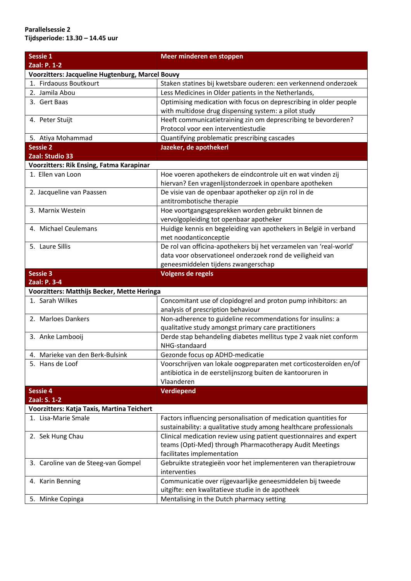## **Parallelsessie 2 Tijdsperiode: 13.30 – 14.45 uur**

| Sessie 1                                                          | Meer minderen en stoppen                                                                                                               |
|-------------------------------------------------------------------|----------------------------------------------------------------------------------------------------------------------------------------|
| Zaal: P. 1-2                                                      |                                                                                                                                        |
| Voorzitters: Jacqueline Hugtenburg, Marcel Bouvy                  |                                                                                                                                        |
| 1. Firdaouss Boutkourt                                            | Staken statines bij kwetsbare ouderen: een verkennend onderzoek                                                                        |
| 2. Jamila Abou                                                    | Less Medicines in Older patients in the Netherlands,                                                                                   |
| 3. Gert Baas                                                      | Optimising medication with focus on deprescribing in older people                                                                      |
|                                                                   | with multidose drug dispensing system: a pilot study                                                                                   |
| 4. Peter Stuijt                                                   | Heeft communicatietraining zin om deprescribing te bevorderen?                                                                         |
|                                                                   | Protocol voor een interventiestudie                                                                                                    |
| 5. Atiya Mohammad                                                 | Quantifying problematic prescribing cascades                                                                                           |
| <b>Sessie 2</b>                                                   | Jazeker, de apothekerl                                                                                                                 |
| Zaal: Studio 33                                                   |                                                                                                                                        |
| Voorzitters: Rik Ensing, Fatma Karapinar                          |                                                                                                                                        |
| 1. Ellen van Loon                                                 | Hoe voeren apothekers de eindcontrole uit en wat vinden zij                                                                            |
|                                                                   | hiervan? Een vragenlijstonderzoek in openbare apotheken                                                                                |
| 2. Jacqueline van Paassen                                         | De visie van de openbaar apotheker op zijn rol in de                                                                                   |
|                                                                   | antitrombotische therapie                                                                                                              |
| 3. Marnix Westein                                                 | Hoe voortgangsgesprekken worden gebruikt binnen de                                                                                     |
|                                                                   | vervolgopleiding tot openbaar apotheker                                                                                                |
| 4. Michael Ceulemans                                              | Huidige kennis en begeleiding van apothekers in België in verband                                                                      |
|                                                                   | met noodanticonceptie                                                                                                                  |
| 5. Laure Sillis                                                   | De rol van officina-apothekers bij het verzamelen van 'real-world'                                                                     |
|                                                                   | data voor observationeel onderzoek rond de veiligheid van                                                                              |
|                                                                   | geneesmiddelen tijdens zwangerschap                                                                                                    |
| <b>Sessie 3</b>                                                   | <b>Volgens de regels</b>                                                                                                               |
| Zaal: P. 3-4                                                      |                                                                                                                                        |
| Voorzitters: Matthijs Becker, Mette Heringa                       |                                                                                                                                        |
| 1. Sarah Wilkes                                                   | Concomitant use of clopidogrel and proton pump inhibitors: an                                                                          |
|                                                                   | analysis of prescription behaviour                                                                                                     |
| 2. Marloes Dankers                                                | Non-adherence to guideline recommendations for insulins: a                                                                             |
|                                                                   | qualitative study amongst primary care practitioners                                                                                   |
| 3. Anke Lambooij                                                  | Derde stap behandeling diabetes mellitus type 2 vaak niet conform                                                                      |
|                                                                   | NHG-standaard                                                                                                                          |
| 4. Marieke van den Berk-Bulsink                                   | Gezonde focus op ADHD-medicatie                                                                                                        |
| 5. Hans de Loof                                                   | Voorschrijven van lokale oogpreparaten met corticosteroïden en/of                                                                      |
|                                                                   | antibiotica in de eerstelijnszorg buiten de kantooruren in<br>Vlaanderen                                                               |
|                                                                   |                                                                                                                                        |
| <b>Sessie 4</b><br>Zaal: S. 1-2                                   | <b>Verdiepend</b>                                                                                                                      |
|                                                                   |                                                                                                                                        |
| Voorzitters: Katja Taxis, Martina Teichert<br>1. Lisa-Marie Smale |                                                                                                                                        |
|                                                                   | Factors influencing personalisation of medication quantities for<br>sustainability: a qualitative study among healthcare professionals |
| 2. Sek Hung Chau                                                  | Clinical medication review using patient questionnaires and expert                                                                     |
|                                                                   | teams (Opti-Med) through Pharmacotherapy Audit Meetings                                                                                |
|                                                                   | facilitates implementation                                                                                                             |
| 3. Caroline van de Steeg-van Gompel                               | Gebruikte strategieën voor het implementeren van therapietrouw                                                                         |
|                                                                   | interventies                                                                                                                           |
| 4. Karin Benning                                                  | Communicatie over rijgevaarlijke geneesmiddelen bij tweede                                                                             |
|                                                                   | uitgifte: een kwalitatieve studie in de apotheek                                                                                       |
| 5. Minke Copinga                                                  | Mentalising in the Dutch pharmacy setting                                                                                              |
|                                                                   |                                                                                                                                        |